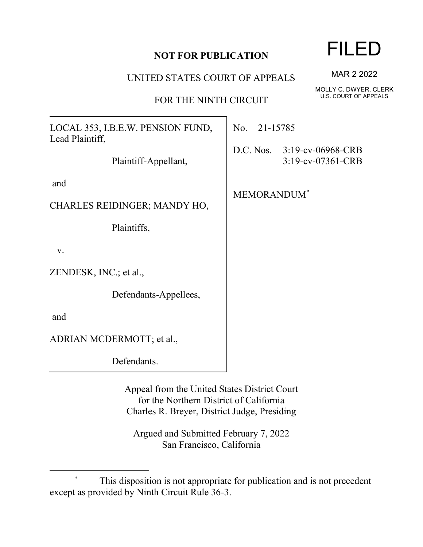## **NOT FOR PUBLICATION**

UNITED STATES COURT OF APPEALS

FOR THE NINTH CIRCUIT

LOCAL 353, I.B.E.W. PENSION FUND, Lead Plaintiff,

Plaintiff-Appellant,

and

CHARLES REIDINGER; MANDY HO,

Plaintiffs,

v.

ZENDESK, INC.; et al.,

Defendants-Appellees,

and

ADRIAN MCDERMOTT; et al.,

Defendants.

Appeal from the United States District Court for the Northern District of California Charles R. Breyer, District Judge, Presiding

Argued and Submitted February 7, 2022 San Francisco, California

MAR 2 2022

MOLLY C. DWYER, CLERK U.S. COURT OF APPEALS

No. 21-15785

D.C. Nos. 3:19-cv-06968-CRB 3:19-cv-07361-CRB

MEMORANDUM\*

FILED

This disposition is not appropriate for publication and is not precedent except as provided by Ninth Circuit Rule 36-3.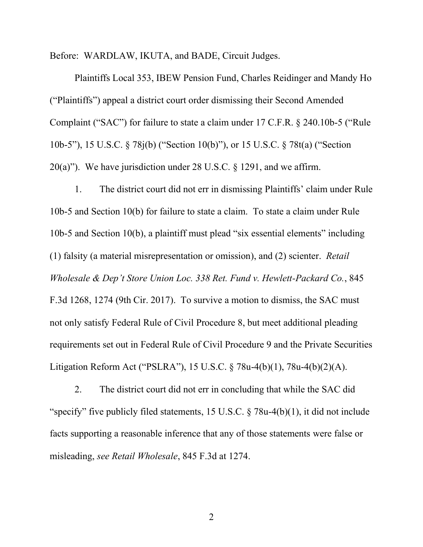Before: WARDLAW, IKUTA, and BADE, Circuit Judges.

Plaintiffs Local 353, IBEW Pension Fund, Charles Reidinger and Mandy Ho ("Plaintiffs") appeal a district court order dismissing their Second Amended Complaint ("SAC") for failure to state a claim under 17 C.F.R. § 240.10b-5 ("Rule 10b-5"), 15 U.S.C. § 78j(b) ("Section 10(b)"), or 15 U.S.C. § 78t(a) ("Section 20(a)"). We have jurisdiction under 28 U.S.C.  $\S$  1291, and we affirm.

1. The district court did not err in dismissing Plaintiffs' claim under Rule 10b-5 and Section 10(b) for failure to state a claim. To state a claim under Rule 10b-5 and Section 10(b), a plaintiff must plead "six essential elements" including (1) falsity (a material misrepresentation or omission), and (2) scienter. *Retail Wholesale & Dep't Store Union Loc. 338 Ret. Fund v. Hewlett-Packard Co.*, 845 F.3d 1268, 1274 (9th Cir. 2017). To survive a motion to dismiss, the SAC must not only satisfy Federal Rule of Civil Procedure 8, but meet additional pleading requirements set out in Federal Rule of Civil Procedure 9 and the Private Securities Litigation Reform Act ("PSLRA"), 15 U.S.C. § 78u-4(b)(1), 78u-4(b)(2)(A).

2. The district court did not err in concluding that while the SAC did "specify" five publicly filed statements, 15 U.S.C.  $\S$  78u-4(b)(1), it did not include facts supporting a reasonable inference that any of those statements were false or misleading, *see Retail Wholesale*, 845 F.3d at 1274.

2 a set of  $\sim$  2 a set of  $\sim$  2 a set of  $\sim$  2 a set of  $\sim$  3 a set of  $\sim$  3 a set of  $\sim$  3 a set of  $\sim$  3 a set of  $\sim$  3 a set of  $\sim$  3 a set of  $\sim$  3 a set of  $\sim$  3 a set of  $\sim$  3 a set of  $\sim$  3 a set of  $\sim$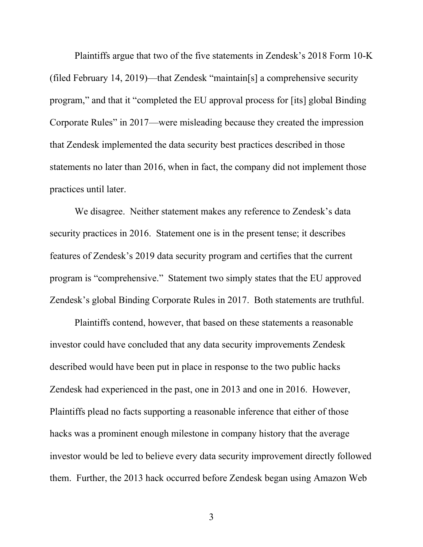Plaintiffs argue that two of the five statements in Zendesk's 2018 Form 10-K (filed February 14, 2019)—that Zendesk "maintain[s] a comprehensive security program," and that it "completed the EU approval process for [its] global Binding Corporate Rules" in 2017—were misleading because they created the impression that Zendesk implemented the data security best practices described in those statements no later than 2016, when in fact, the company did not implement those practices until later.

We disagree. Neither statement makes any reference to Zendesk's data security practices in 2016. Statement one is in the present tense; it describes features of Zendesk's 2019 data security program and certifies that the current program is "comprehensive." Statement two simply states that the EU approved Zendesk's global Binding Corporate Rules in 2017. Both statements are truthful.

Plaintiffs contend, however, that based on these statements a reasonable investor could have concluded that any data security improvements Zendesk described would have been put in place in response to the two public hacks Zendesk had experienced in the past, one in 2013 and one in 2016. However, Plaintiffs plead no facts supporting a reasonable inference that either of those hacks was a prominent enough milestone in company history that the average investor would be led to believe every data security improvement directly followed them. Further, the 2013 hack occurred before Zendesk began using Amazon Web

3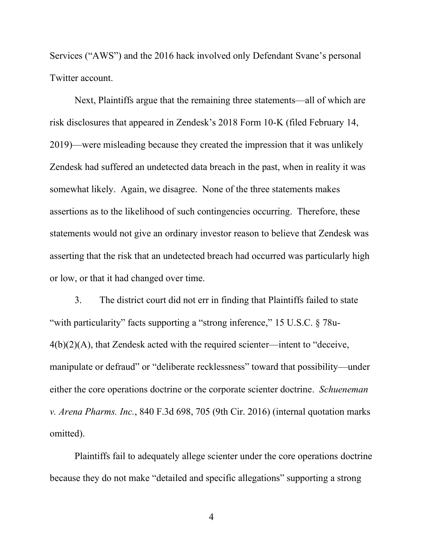Services ("AWS") and the 2016 hack involved only Defendant Svane's personal Twitter account.

Next, Plaintiffs argue that the remaining three statements—all of which are risk disclosures that appeared in Zendesk's 2018 Form 10-K (filed February 14, 2019)—were misleading because they created the impression that it was unlikely Zendesk had suffered an undetected data breach in the past, when in reality it was somewhat likely. Again, we disagree. None of the three statements makes assertions as to the likelihood of such contingencies occurring. Therefore, these statements would not give an ordinary investor reason to believe that Zendesk was asserting that the risk that an undetected breach had occurred was particularly high or low, or that it had changed over time.

3. The district court did not err in finding that Plaintiffs failed to state "with particularity" facts supporting a "strong inference," 15 U.S.C. § 78u-4(b)(2)(A), that Zendesk acted with the required scienter—intent to "deceive, manipulate or defraud" or "deliberate recklessness" toward that possibility—under either the core operations doctrine or the corporate scienter doctrine. *Schueneman v. Arena Pharms. Inc.*, 840 F.3d 698, 705 (9th Cir. 2016) (internal quotation marks omitted).

Plaintiffs fail to adequately allege scienter under the core operations doctrine because they do not make "detailed and specific allegations" supporting a strong

4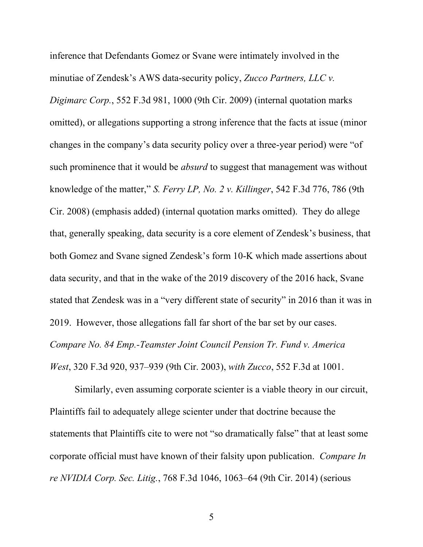inference that Defendants Gomez or Svane were intimately involved in the minutiae of Zendesk's AWS data-security policy, *Zucco Partners, LLC v. Digimarc Corp.*, 552 F.3d 981, 1000 (9th Cir. 2009) (internal quotation marks omitted), or allegations supporting a strong inference that the facts at issue (minor changes in the company's data security policy over a three-year period) were "of such prominence that it would be *absurd* to suggest that management was without knowledge of the matter," *S. Ferry LP, No. 2 v. Killinger*, 542 F.3d 776, 786 (9th Cir. 2008) (emphasis added) (internal quotation marks omitted). They do allege that, generally speaking, data security is a core element of Zendesk's business, that both Gomez and Svane signed Zendesk's form 10-K which made assertions about data security, and that in the wake of the 2019 discovery of the 2016 hack, Svane stated that Zendesk was in a "very different state of security" in 2016 than it was in 2019. However, those allegations fall far short of the bar set by our cases. *Compare No. 84 Emp.-Teamster Joint Council Pension Tr. Fund v. America West*, 320 F.3d 920, 937–939 (9th Cir. 2003), *with Zucco*, 552 F.3d at 1001.

Similarly, even assuming corporate scienter is a viable theory in our circuit, Plaintiffs fail to adequately allege scienter under that doctrine because the statements that Plaintiffs cite to were not "so dramatically false" that at least some corporate official must have known of their falsity upon publication. *Compare In re NVIDIA Corp. Sec. Litig.*, 768 F.3d 1046, 1063–64 (9th Cir. 2014) (serious

5